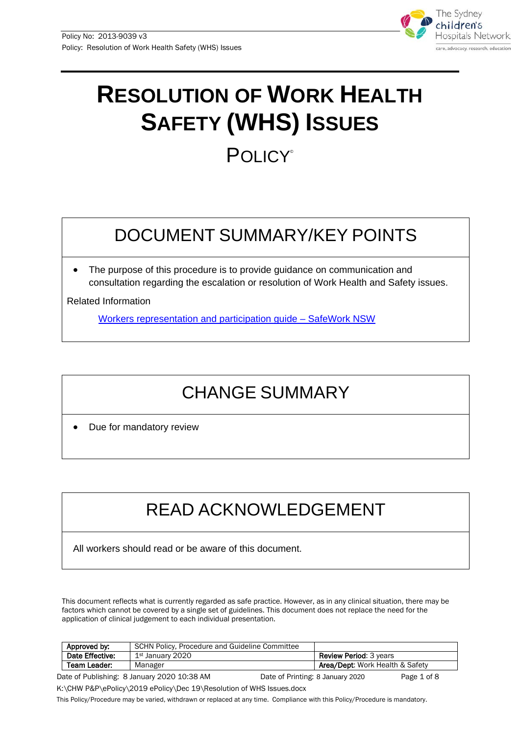

# **RESOLUTION OF WORK HEALTH SAFETY (WHS) ISSUES POLICY®**

# DOCUMENT SUMMARY/KEY POINTS

The purpose of this procedure is to provide guidance on communication and consultation regarding the escalation or resolution of Work Health and Safety issues.

Related Information

[Workers representation and participation guide –](https://www.safework.nsw.gov.au/__data/assets/pdf_file/0017/50165/workers-rep-and-participation-guide-8410.pdf) SafeWork NSW

# CHANGE SUMMARY

Due for mandatory review

# READ ACKNOWLEDGEMENT

All workers should read or be aware of this document.

This document reflects what is currently regarded as safe practice. However, as in any clinical situation, there may be factors which cannot be covered by a single set of guidelines. This document does not replace the need for the application of clinical judgement to each individual presentation.

| Approved by:    | SCHN Policy, Procedure and Guideline Committee |                                  |                                            |             |
|-----------------|------------------------------------------------|----------------------------------|--------------------------------------------|-------------|
| Date Effective: | 1st January 2020                               |                                  | <b>Review Period: 3 years</b>              |             |
| Team Leader:    | Manager                                        |                                  | <b>Area/Dept: Work Health &amp; Safety</b> |             |
|                 | Date of Publishing: 8 January 2020 10:38 AM    | Date of Printing: 8 January 2020 |                                            | Page 1 of 8 |

K:\CHW P&P\ePolicy\2019 ePolicy\Dec 19\Resolution of WHS Issues.docx

This Policy/Procedure may be varied, withdrawn or replaced at any time. Compliance with this Policy/Procedure is mandatory.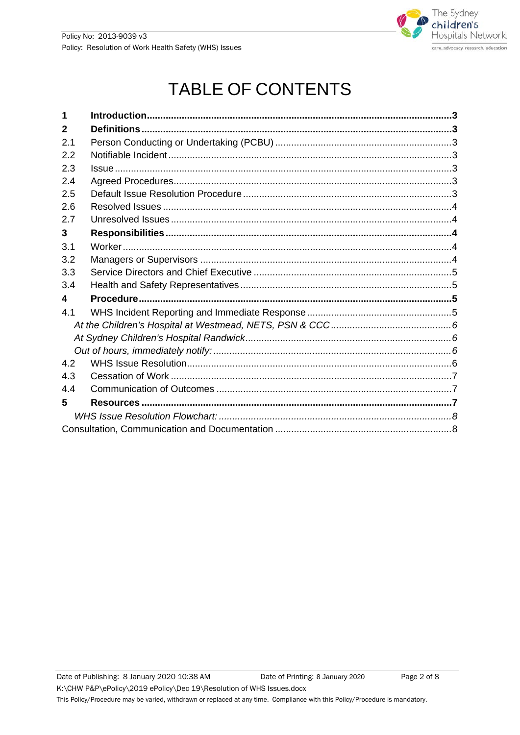

# **TABLE OF CONTENTS**

| $\mathbf{2}$ |  |  |
|--------------|--|--|
| 2.1          |  |  |
| 2.2          |  |  |
| 2.3          |  |  |
| 2.4          |  |  |
| 2.5          |  |  |
| 2.6          |  |  |
| 2.7          |  |  |
| 3            |  |  |
| 3.1          |  |  |
| 3.2          |  |  |
| 3.3          |  |  |
| 3.4          |  |  |
| 4            |  |  |
| 4.1          |  |  |
|              |  |  |
|              |  |  |
|              |  |  |
| 4.2          |  |  |
| 4.3          |  |  |
| 4.4          |  |  |
| 5            |  |  |
|              |  |  |
|              |  |  |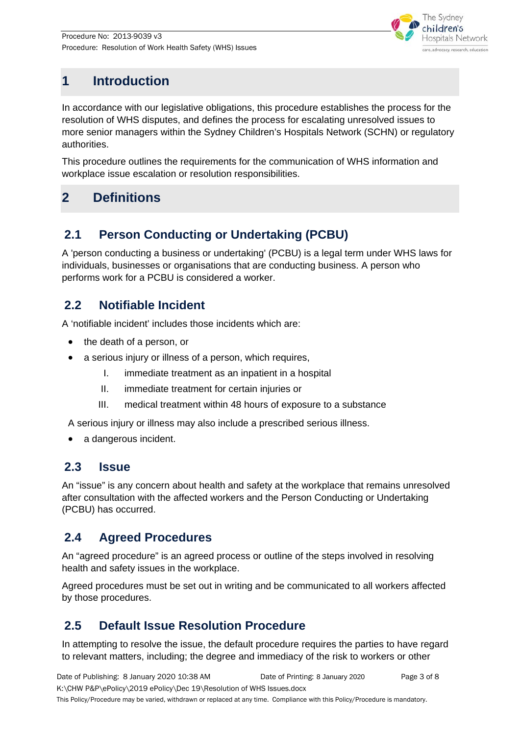

## <span id="page-2-0"></span>**1 Introduction**

In accordance with our legislative obligations, this procedure establishes the process for the resolution of WHS disputes, and defines the process for escalating unresolved issues to more senior managers within the Sydney Children's Hospitals Network (SCHN) or regulatory authorities.

This procedure outlines the requirements for the communication of WHS information and workplace issue escalation or resolution responsibilities.

## <span id="page-2-1"></span>**2 Definitions**

### <span id="page-2-2"></span>**2.1 Person Conducting or Undertaking (PCBU)**

A 'person conducting a business or undertaking' (PCBU) is a legal term under WHS laws for individuals, businesses or organisations that are conducting business. A person who performs work for a PCBU is considered a worker.

#### <span id="page-2-3"></span>**2.2 Notifiable Incident**

A 'notifiable incident' includes those incidents which are:

- the death of a person, or
- a serious injury or illness of a person, which requires,
	- I. immediate treatment as an inpatient in a hospital
	- II. immediate treatment for certain injuries or
	- III. medical treatment within 48 hours of exposure to a substance

A serious injury or illness may also include a prescribed serious illness.

• a dangerous incident.

#### <span id="page-2-4"></span>**2.3 Issue**

An "issue" is any concern about health and safety at the workplace that remains unresolved after consultation with the affected workers and the Person Conducting or Undertaking (PCBU) has occurred.

#### <span id="page-2-5"></span>**2.4 Agreed Procedures**

An "agreed procedure" is an agreed process or outline of the steps involved in resolving health and safety issues in the workplace.

Agreed procedures must be set out in writing and be communicated to all workers affected by those procedures.

### <span id="page-2-6"></span>**2.5 Default Issue Resolution Procedure**

In attempting to resolve the issue, the default procedure requires the parties to have regard to relevant matters, including; the degree and immediacy of the risk to workers or other

Date of Publishing: 8 January 2020 10:38 AM Date of Printing: 8 January 2020 Page 3 of 8 K:\CHW P&P\ePolicy\2019 ePolicy\Dec 19\Resolution of WHS Issues.docx This Policy/Procedure may be varied, withdrawn or replaced at any time. Compliance with this Policy/Procedure is mandatory. Date of Printing: 8 January 2020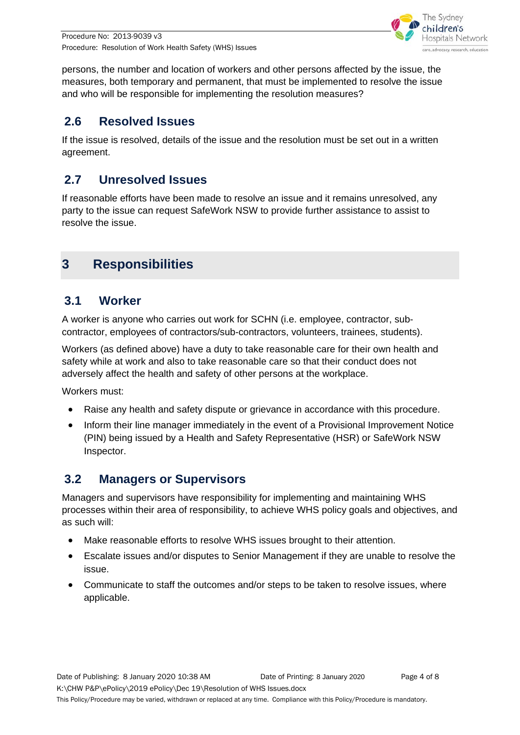Procedure No: 2013-9039 v3 Procedure: Resolution of Work Health Safety (WHS) Issues



persons, the number and location of workers and other persons affected by the issue, the measures, both temporary and permanent, that must be implemented to resolve the issue and who will be responsible for implementing the resolution measures?

#### <span id="page-3-0"></span>**2.6 Resolved Issues**

If the issue is resolved, details of the issue and the resolution must be set out in a written agreement.

#### <span id="page-3-1"></span>**2.7 Unresolved Issues**

If reasonable efforts have been made to resolve an issue and it remains unresolved, any party to the issue can request SafeWork NSW to provide further assistance to assist to resolve the issue.

## <span id="page-3-2"></span>**3 Responsibilities**

#### <span id="page-3-3"></span>**3.1 Worker**

A worker is anyone who carries out work for SCHN (i.e. employee, contractor, subcontractor, employees of contractors/sub-contractors, volunteers, trainees, students).

Workers (as defined above) have a duty to take reasonable care for their own health and safety while at work and also to take reasonable care so that their conduct does not adversely affect the health and safety of other persons at the workplace.

Workers must:

- Raise any health and safety dispute or grievance in accordance with this procedure.
- Inform their line manager immediately in the event of a Provisional Improvement Notice (PIN) being issued by a Health and Safety Representative (HSR) or SafeWork NSW Inspector.

#### <span id="page-3-4"></span>**3.2 Managers or Supervisors**

Managers and supervisors have responsibility for implementing and maintaining WHS processes within their area of responsibility, to achieve WHS policy goals and objectives, and as such will:

- Make reasonable efforts to resolve WHS issues brought to their attention.
- Escalate issues and/or disputes to Senior Management if they are unable to resolve the issue.
- Communicate to staff the outcomes and/or steps to be taken to resolve issues, where applicable.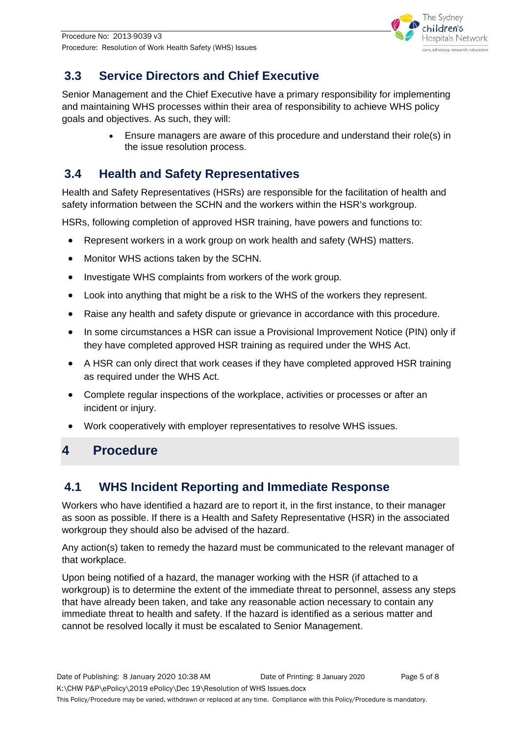

## <span id="page-4-0"></span>**3.3 Service Directors and Chief Executive**

Senior Management and the Chief Executive have a primary responsibility for implementing and maintaining WHS processes within their area of responsibility to achieve WHS policy goals and objectives. As such, they will:

> • Ensure managers are aware of this procedure and understand their role(s) in the issue resolution process.

### <span id="page-4-1"></span>**3.4 Health and Safety Representatives**

Health and Safety Representatives (HSRs) are responsible for the facilitation of health and safety information between the SCHN and the workers within the HSR's workgroup.

HSRs, following completion of approved HSR training, have powers and functions to:

- Represent workers in a work group on work health and safety (WHS) matters.
- Monitor WHS actions taken by the SCHN.
- Investigate WHS complaints from workers of the work group.
- Look into anything that might be a risk to the WHS of the workers they represent.
- Raise any health and safety dispute or grievance in accordance with this procedure.
- In some circumstances a HSR can issue a Provisional Improvement Notice (PIN) only if they have completed approved HSR training as required under the WHS Act.
- A HSR can only direct that work ceases if they have completed approved HSR training as required under the WHS Act.
- Complete regular inspections of the workplace, activities or processes or after an incident or injury.
- Work cooperatively with employer representatives to resolve WHS issues.

## <span id="page-4-2"></span>**4 Procedure**

### <span id="page-4-3"></span>**4.1 WHS Incident Reporting and Immediate Response**

Workers who have identified a hazard are to report it, in the first instance, to their manager as soon as possible. If there is a Health and Safety Representative (HSR) in the associated workgroup they should also be advised of the hazard.

Any action(s) taken to remedy the hazard must be communicated to the relevant manager of that workplace.

Upon being notified of a hazard, the manager working with the HSR (if attached to a workgroup) is to determine the extent of the immediate threat to personnel, assess any steps that have already been taken, and take any reasonable action necessary to contain any immediate threat to health and safety. If the hazard is identified as a serious matter and cannot be resolved locally it must be escalated to Senior Management.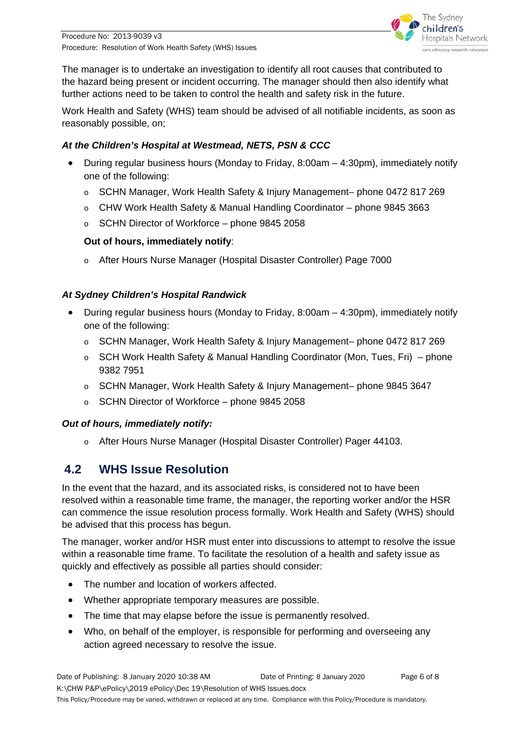

The manager is to undertake an investigation to identify all root causes that contributed to the hazard being present or incident occurring. The manager should then also identify what further actions need to be taken to control the health and safety risk in the future.

Work Health and Safety (WHS) team should be advised of all notifiable incidents, as soon as reasonably possible, on;

#### <span id="page-5-0"></span>*At the Children's Hospital at Westmead, NETS, PSN & CCC*

- During regular business hours (Monday to Friday, 8:00am 4:30pm), immediately notify one of the following:
	- o SCHN Manager, Work Health Safety & Injury Management– phone 0472 817 269
	- o CHW Work Health Safety & Manual Handling Coordinator phone 9845 3663
	- o SCHN Director of Workforce phone 9845 2058

#### **Out of hours, immediately notify**:

o After Hours Nurse Manager (Hospital Disaster Controller) Page 7000

#### <span id="page-5-1"></span>*At Sydney Children's Hospital Randwick*

- During regular business hours (Monday to Friday,  $8:00am 4:30pm$ ), immediately notify one of the following:
	- o SCHN Manager, Work Health Safety & Injury Management– phone 0472 817 269
	- o SCH Work Health Safety & Manual Handling Coordinator (Mon, Tues, Fri) phone 9382 7951
	- o SCHN Manager, Work Health Safety & Injury Management– phone 9845 3647
	- o SCHN Director of Workforce phone 9845 2058

#### <span id="page-5-2"></span>*Out of hours, immediately notify:*

o After Hours Nurse Manager (Hospital Disaster Controller) Pager 44103.

### <span id="page-5-3"></span>**4.2 WHS Issue Resolution**

In the event that the hazard, and its associated risks, is considered not to have been resolved within a reasonable time frame, the manager, the reporting worker and/or the HSR can commence the issue resolution process formally. Work Health and Safety (WHS) should be advised that this process has begun.

The manager, worker and/or HSR must enter into discussions to attempt to resolve the issue within a reasonable time frame. To facilitate the resolution of a health and safety issue as quickly and effectively as possible all parties should consider:

- The number and location of workers affected.
- Whether appropriate temporary measures are possible.
- The time that may elapse before the issue is permanently resolved.
- Who, on behalf of the employer, is responsible for performing and overseeing any action agreed necessary to resolve the issue.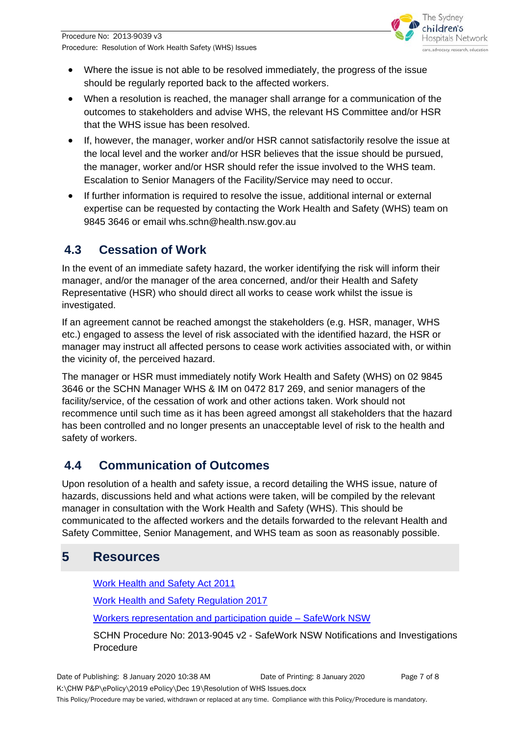

- Where the issue is not able to be resolved immediately, the progress of the issue should be regularly reported back to the affected workers.
- When a resolution is reached, the manager shall arrange for a communication of the outcomes to stakeholders and advise WHS, the relevant HS Committee and/or HSR that the WHS issue has been resolved.
- If, however, the manager, worker and/or HSR cannot satisfactorily resolve the issue at the local level and the worker and/or HSR believes that the issue should be pursued, the manager, worker and/or HSR should refer the issue involved to the WHS team. Escalation to Senior Managers of the Facility/Service may need to occur.
- If further information is required to resolve the issue, additional internal or external expertise can be requested by contacting the Work Health and Safety (WHS) team on 9845 3646 or email whs.schn@health.nsw.gov.au

### <span id="page-6-0"></span>**4.3 Cessation of Work**

In the event of an immediate safety hazard, the worker identifying the risk will inform their manager, and/or the manager of the area concerned, and/or their Health and Safety Representative (HSR) who should direct all works to cease work whilst the issue is investigated.

If an agreement cannot be reached amongst the stakeholders (e.g. HSR, manager, WHS etc.) engaged to assess the level of risk associated with the identified hazard, the HSR or manager may instruct all affected persons to cease work activities associated with, or within the vicinity of, the perceived hazard.

The manager or HSR must immediately notify Work Health and Safety (WHS) on 02 9845 3646 or the SCHN Manager WHS & IM on 0472 817 269, and senior managers of the facility/service, of the cessation of work and other actions taken. Work should not recommence until such time as it has been agreed amongst all stakeholders that the hazard has been controlled and no longer presents an unacceptable level of risk to the health and safety of workers.

### <span id="page-6-1"></span>**4.4 Communication of Outcomes**

Upon resolution of a health and safety issue, a record detailing the WHS issue, nature of hazards, discussions held and what actions were taken, will be compiled by the relevant manager in consultation with the Work Health and Safety (WHS). This should be communicated to the affected workers and the details forwarded to the relevant Health and Safety Committee, Senior Management, and WHS team as soon as reasonably possible.

## <span id="page-6-2"></span>**5 Resources**

[Work Health and Safety Act 2011](http://www.austlii.edu.au/au/legis/nsw/consol_act/whasa2011218/)

[Work Health and Safety Regulation 2017](https://www.legislation.nsw.gov.au/)

[Workers representation and participation guide –](https://www.safework.nsw.gov.au/__data/assets/pdf_file/0017/50165/workers-rep-and-participation-guide-8410.pdf) SafeWork NSW

SCHN Procedure No: 2013-9045 v2 - SafeWork NSW Notifications and Investigations Procedure